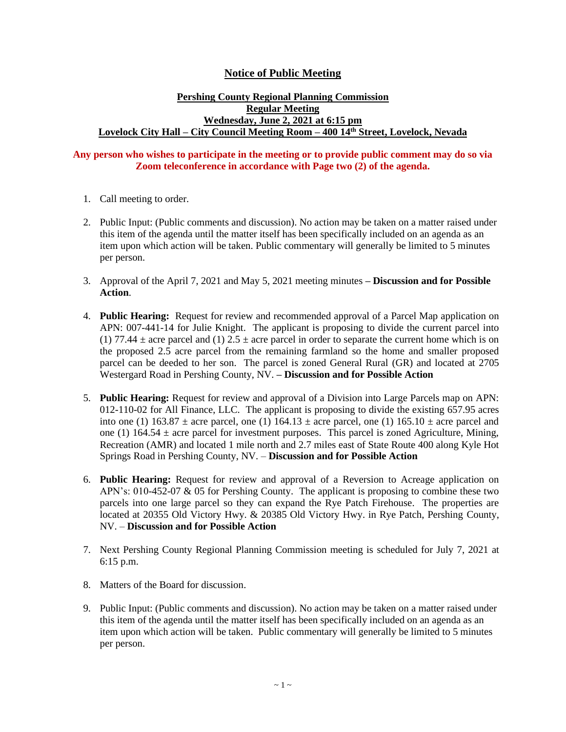## **Notice of Public Meeting**

## **Pershing County Regional Planning Commission Regular Meeting Wednesday, June 2, 2021 at 6:15 pm Lovelock City Hall – City Council Meeting Room – 400 14th Street, Lovelock, Nevada**

## **Any person who wishes to participate in the meeting or to provide public comment may do so via Zoom teleconference in accordance with Page two (2) of the agenda.**

- 1. Call meeting to order.
- 2. Public Input: (Public comments and discussion). No action may be taken on a matter raised under this item of the agenda until the matter itself has been specifically included on an agenda as an item upon which action will be taken. Public commentary will generally be limited to 5 minutes per person.
- 3. Approval of the April 7, 2021 and May 5, 2021 meeting minutes **– Discussion and for Possible Action**.
- 4. **Public Hearing:** Request for review and recommended approval of a Parcel Map application on APN: 007-441-14 for Julie Knight. The applicant is proposing to divide the current parcel into (1) 77.44  $\pm$  acre parcel and (1) 2.5  $\pm$  acre parcel in order to separate the current home which is on the proposed  $2.\overline{5}$  acre parcel from the remaining farmland so the home and smaller proposed parcel can be deeded to her son. The parcel is zoned General Rural (GR) and located at 2705 Westergard Road in Pershing County, NV. **– Discussion and for Possible Action**
- 5. **Public Hearing:** Request for review and approval of a Division into Large Parcels map on APN: 012-110-02 for All Finance, LLC. The applicant is proposing to divide the existing 657.95 acres into one (1)  $163.87 \pm$  acre parcel, one (1)  $164.13 \pm$  acre parcel, one (1)  $165.10 \pm$  acre parcel and one (1)  $164.54 \pm$  acre parcel for investment purposes. This parcel is zoned Agriculture, Mining, Recreation (AMR) and located 1 mile north and 2.7 miles east of State Route 400 along Kyle Hot Springs Road in Pershing County, NV. – **Discussion and for Possible Action**
- 6. **Public Hearing:** Request for review and approval of a Reversion to Acreage application on APN's: 010-452-07 & 05 for Pershing County. The applicant is proposing to combine these two parcels into one large parcel so they can expand the Rye Patch Firehouse. The properties are located at 20355 Old Victory Hwy. & 20385 Old Victory Hwy. in Rye Patch, Pershing County, NV. – **Discussion and for Possible Action**
- 7. Next Pershing County Regional Planning Commission meeting is scheduled for July 7, 2021 at 6:15 p.m.
- 8. Matters of the Board for discussion.
- 9. Public Input: (Public comments and discussion). No action may be taken on a matter raised under this item of the agenda until the matter itself has been specifically included on an agenda as an item upon which action will be taken. Public commentary will generally be limited to 5 minutes per person.